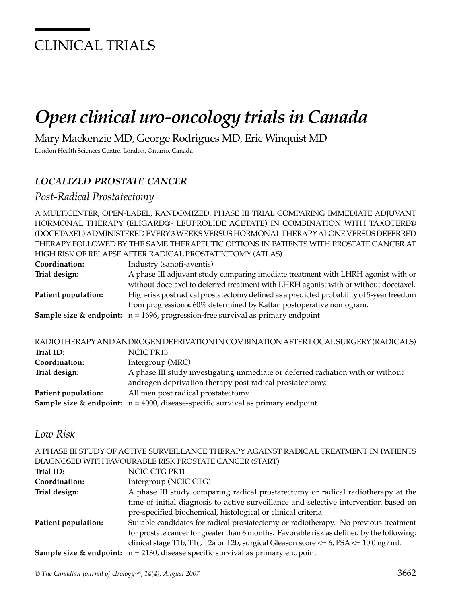# CLINICAL TRIALS

# *Open clinical uro-oncology trials in Canada*

Mary Mackenzie MD, George Rodrigues MD, Eric Winquist MD

London Health Sciences Centre, London, Ontario, Canada

## *LOCALIZED PROSTATE CANCER*

### *Post-Radical Prostatectomy*

A MULTICENTER, OPEN-LABEL, RANDOMIZED, PHASE III TRIAL COMPARING IMMEDIATE ADJUVANT HORMONAL THERAPY (ELIGARD®- LEUPROLIDE ACETATE) IN COMBINATION WITH TAXOTERE® (DOCETAXEL) ADMINISTERED EVERY 3 WEEKS VERSUS HORMONAL THERAPY ALONE VERSUS DEFERRED THERAPY FOLLOWED BY THE SAME THERAPEUTIC OPTIONS IN PATIENTS WITH PROSTATE CANCER AT HIGH RISK OF RELAPSE AFTER RADICAL PROSTATECTOMY (ATLAS)

| Coordination:       | Industry (sanofi-aventis)                                                                     |
|---------------------|-----------------------------------------------------------------------------------------------|
| Trial design:       | A phase III adjuvant study comparing imediate treatment with LHRH agonist with or             |
|                     | without docetaxel to deferred treatment with LHRH agonist with or without docetaxel.          |
| Patient population: | High-risk post radical prostatectomy defined as a predicted probability of 5-year freedom     |
|                     | from progression $\leq 60\%$ determined by Kattan postoperative nomogram.                     |
|                     | <b>Sample size &amp; endpoint:</b> $n = 1696$ , progression-free survival as primary endpoint |

| RADIOTHERAPY AND ANDROGEN DEPRIVATION IN COMBINATION AFTER LOCAL SURGERY (RADICALS)           |
|-----------------------------------------------------------------------------------------------|
| NCIC PR13                                                                                     |
| Intergroup (MRC)                                                                              |
| A phase III study investigating immediate or deferred radiation with or without               |
| androgen deprivation therapy post radical prostatectomy.                                      |
| All men post radical prostatectomy.                                                           |
| <b>Sample size &amp; endpoint:</b> $n = 4000$ , disease-specific survival as primary endpoint |
|                                                                                               |

### *Low Risk*

A PHASE III STUDY OF ACTIVE SURVEILLANCE THERAPY AGAINST RADICAL TREATMENT IN PATIENTS DIAGNOSED WITH FAVOURABLE RISK PROSTATE CANCER (START)

| Trial ID:           | NCIC CTG PR11                                                                                 |
|---------------------|-----------------------------------------------------------------------------------------------|
| Coordination:       | Intergroup (NCIC CTG)                                                                         |
| Trial design:       | A phase III study comparing radical prostatectomy or radical radiotherapy at the              |
|                     | time of initial diagnosis to active surveillance and selective intervention based on          |
|                     | pre-specified biochemical, histological or clinical criteria.                                 |
| Patient population: | Suitable candidates for radical prostatectomy or radiotherapy. No previous treatment          |
|                     | for prostate cancer for greater than 6 months. Favorable risk as defined by the following:    |
|                     | clinical stage T1b, T1c, T2a or T2b, surgical Gleason score $<= 6$ , PSA $<= 10.0$ ng/ml.     |
|                     | <b>Sample size &amp; endpoint:</b> $n = 2130$ , disease specific survival as primary endpoint |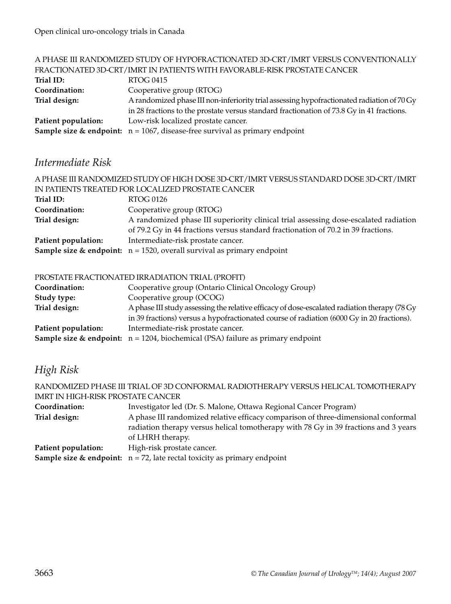|                     | A PHASE III RANDOMIZED STUDY OF HYPOFRACTIONATED 3D-CRT/IMRT VERSUS CONVENTIONALLY         |
|---------------------|--------------------------------------------------------------------------------------------|
|                     | FRACTIONATED 3D-CRT/IMRT IN PATIENTS WITH FAVORABLE-RISK PROSTATE CANCER                   |
| Trial ID:           | RTOG 0415                                                                                  |
| Coordination:       | Cooperative group (RTOG)                                                                   |
| Trial design:       | A randomized phase III non-inferiority trial assessing hypofractionated radiation of 70 Gy |
|                     | in 28 fractions to the prostate versus standard fractionation of 73.8 Gy in 41 fractions.  |
| Patient population: | Low-risk localized prostate cancer.                                                        |
|                     | <b>Sample size &amp; endpoint:</b> $n = 1067$ , disease-free survival as primary endpoint  |
|                     |                                                                                            |

## *Intermediate Risk*

| A PHASE III RANDOMIZED STUDY OF HIGH DOSE 3D-CRT/IMRT VERSUS STANDARD DOSE 3D-CRT/IMRT |                                                                                      |  |
|----------------------------------------------------------------------------------------|--------------------------------------------------------------------------------------|--|
| IN PATIENTS TREATED FOR LOCALIZED PROSTATE CANCER                                      |                                                                                      |  |
| Trial ID:                                                                              | RTOG 0126                                                                            |  |
| Coordination:                                                                          | Cooperative group (RTOG)                                                             |  |
| Trial design:                                                                          | A randomized phase III superiority clinical trial assessing dose-escalated radiation |  |
|                                                                                        | of 79.2 Gy in 44 fractions versus standard fractionation of 70.2 in 39 fractions.    |  |
| Patient population:                                                                    | Intermediate-risk prostate cancer.                                                   |  |
|                                                                                        | <b>Sample size &amp; endpoint:</b> $n = 1520$ , overall survival as primary endpoint |  |

### PROSTATE FRACTIONATED IRRADIATION TRIAL (PROFIT)

| Coordination:       | Cooperative group (Ontario Clinical Oncology Group)                                           |
|---------------------|-----------------------------------------------------------------------------------------------|
| Study type:         | Cooperative group (OCOG)                                                                      |
| Trial design:       | A phase III study assessing the relative efficacy of dose-escalated radiation therapy (78 Gy) |
|                     | in 39 fractions) versus a hypofractionated course of radiation (6000 Gy in 20 fractions).     |
| Patient population: | Intermediate-risk prostate cancer.                                                            |
|                     | <b>Sample size &amp; endpoint:</b> $n = 1204$ , biochemical (PSA) failure as primary endpoint |

# *High Risk*

| RANDOMIZED PHASE III TRIAL OF 3D CONFORMAL RADIOTHERAPY VERSUS HELICAL TOMOTHERAPY     |  |
|----------------------------------------------------------------------------------------|--|
| <b>IMRT IN HIGH-RISK PROSTATE CANCER</b>                                               |  |
| Investigator led (Dr. S. Malone, Ottawa Regional Cancer Program)                       |  |
| A phase III randomized relative efficacy comparison of three-dimensional conformal     |  |
| radiation therapy versus helical tomotherapy with 78 Gy in 39 fractions and 3 years    |  |
| of LHRH therapy.                                                                       |  |
| High-risk prostate cancer.                                                             |  |
| <b>Sample size &amp; endpoint:</b> $n = 72$ , late rectal toxicity as primary endpoint |  |
|                                                                                        |  |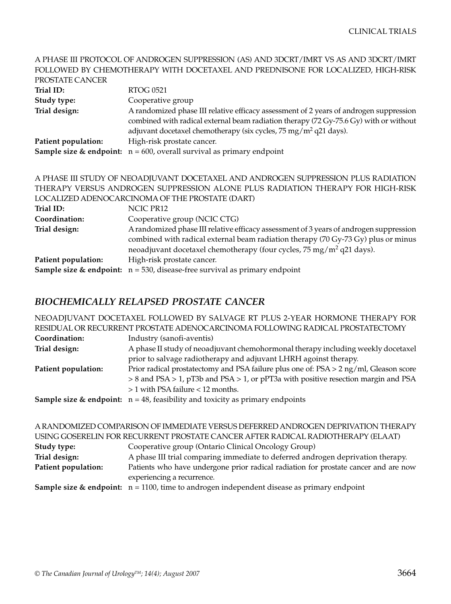#### A PHASE III PROTOCOL OF ANDROGEN SUPPRESSION (AS) AND 3DCRT/IMRT VS AS AND 3DCRT/IMRT FOLLOWED BY CHEMOTHERAPY WITH DOCETAXEL AND PREDNISONE FOR LOCALIZED, HIGH-RISK PROSTATE CANCER

| PRUSTATE CANCER     |                                                                                                                                                                                                                                                                 |
|---------------------|-----------------------------------------------------------------------------------------------------------------------------------------------------------------------------------------------------------------------------------------------------------------|
| Trial ID:           | <b>RTOG 0521</b>                                                                                                                                                                                                                                                |
| Study type:         | Cooperative group                                                                                                                                                                                                                                               |
| Trial design:       | A randomized phase III relative efficacy assessment of 2 years of androgen suppression<br>combined with radical external beam radiation therapy (72 Gy-75.6 Gy) with or without<br>adjuvant docetaxel chemotherapy (six cycles, $75 \text{ mg/m}^2$ q21 days).  |
| Patient population: | High-risk prostate cancer.                                                                                                                                                                                                                                      |
|                     | <b>Sample size &amp; endpoint:</b> $n = 600$ , overall survival as primary endpoint                                                                                                                                                                             |
|                     | A PHASE III STUDY OF NEOADJUVANT DOCETAXEL AND ANDROGEN SUPPRESSION PLUS RADIATION                                                                                                                                                                              |
|                     | THERAPY VERSUS ANDROGEN SUPPRESSION ALONE PLUS RADIATION THERAPY FOR HIGH-RISK                                                                                                                                                                                  |
|                     |                                                                                                                                                                                                                                                                 |
|                     | LOCALIZED ADENOCARCINOMA OF THE PROSTATE (DART)                                                                                                                                                                                                                 |
| Trial ID:           | NCIC PR12                                                                                                                                                                                                                                                       |
| Coordination:       | Cooperative group (NCIC CTG)                                                                                                                                                                                                                                    |
| Trial design:       | A randomized phase III relative efficacy assessment of 3 years of androgen suppression<br>combined with radical external beam radiation therapy (70 Gy-73 Gy) plus or minus<br>neoadjuvant docetaxel chemotherapy (four cycles, 75 mg/m <sup>2</sup> q21 days). |

# **Sample size & endpoint:**  $n = 530$ , disease-free survival as primary endpoint

Patient population: High-risk prostate cancer.

### *BIOCHEMICALLY RELAPSED PROSTATE CANCER*

NEOADJUVANT DOCETAXEL FOLLOWED BY SALVAGE RT PLUS 2-YEAR HORMONE THERAPY FOR RESIDUAL OR RECURRENT PROSTATE ADENOCARCINOMA FOLLOWING RADICAL PROSTATECTOMY

| Coordination:       | Industry (sanofi-aventis)                                                                   |
|---------------------|---------------------------------------------------------------------------------------------|
| Trial design:       | A phase II study of neoadjuvant chemohormonal therapy including weekly docetaxel            |
|                     | prior to salvage radiotherapy and adjuvant LHRH agoinst therapy.                            |
| Patient population: | Prior radical prostatectomy and PSA failure plus one of: $PSA > 2$ ng/ml, Gleason score     |
|                     | > 8 and PSA > 1, pT3b and PSA > 1, or pPT3a with positive resection margin and PSA          |
|                     | $>1$ with PSA failure $< 12$ months.                                                        |
|                     | <b>Sample size &amp; endpoint:</b> $n = 48$ , feasibility and toxicity as primary endpoints |

A RANDOMIZED COMPARISON OF IMMEDIATE VERSUS DEFERRED ANDROGEN DEPRIVATION THERAPY USING GOSERELIN FOR RECURRENT PROSTATE CANCER AFTER RADICAL RADIOTHERAPY (ELAAT) **Study type:** Cooperative group (Ontario Clinical Oncology Group) **Trial design:** A phase III trial comparing immediate to deferred androgen deprivation therapy. **Patient population:** Patients who have undergone prior radical radiation for prostate cancer and are now experiencing a recurrence. **Sample size & endpoint:**  $n = 1100$ , time to androgen independent disease as primary endpoint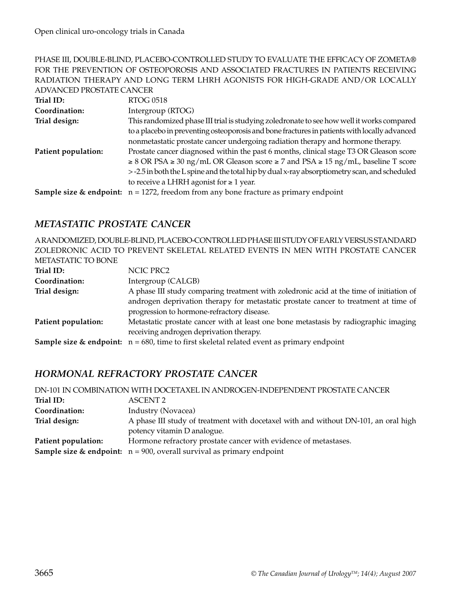### PHASE III, DOUBLE-BLIND, PLACEBO-CONTROLLED STUDY TO EVALUATE THE EFFICACY OF ZOMETA® FOR THE PREVENTION OF OSTEOPOROSIS AND ASSOCIATED FRACTURES IN PATIENTS RECEIVING RADIATION THERAPY AND LONG TERM LHRH AGONISTS FOR HIGH-GRADE AND/OR LOCALLY ADVANCED PROSTATE CANCER

| Trial ID:           | <b>RTOG 0518</b>                                                                                    |
|---------------------|-----------------------------------------------------------------------------------------------------|
| Coordination:       | Intergroup (RTOG)                                                                                   |
| Trial design:       | This randomized phase III trial is studying zoledronate to see how well it works compared           |
|                     | to a placebo in preventing osteoporosis and bone fractures in patients with locally advanced        |
|                     | nonmetastatic prostate cancer undergoing radiation therapy and hormone therapy.                     |
| Patient population: | Prostate cancer diagnosed within the past 6 months, clinical stage T3 OR Gleason score              |
|                     | $\geq$ 8 OR PSA $\geq$ 30 ng/mL OR Gleason score $\geq$ 7 and PSA $\geq$ 15 ng/mL, baseline T score |
|                     | > -2.5 in both the L spine and the total hip by dual x-ray absorptiometry scan, and scheduled       |
|                     | to receive a LHRH agonist for $\geq 1$ year.                                                        |
|                     | <b>Sample size &amp; endpoint:</b> $n = 1272$ , freedom from any bone fracture as primary endpoint  |

### *METASTATIC PROSTATE CANCER*

A RANDOMIZED, DOUBLE-BLIND, PLACEBO-CONTROLLED PHASE III STUDY OF EARLY VERSUS STANDARD ZOLEDRONIC ACID TO PREVENT SKELETAL RELATED EVENTS IN MEN WITH PROSTATE CANCER METASTATIC TO BONE

| Trial ID:           | NCIC PRC2                                                                                               |
|---------------------|---------------------------------------------------------------------------------------------------------|
| Coordination:       | Intergroup (CALGB)                                                                                      |
| Trial design:       | A phase III study comparing treatment with zoledronic acid at the time of initiation of                 |
|                     | androgen deprivation therapy for metastatic prostate cancer to treatment at time of                     |
|                     | progression to hormone-refractory disease.                                                              |
| Patient population: | Metastatic prostate cancer with at least one bone metastasis by radiographic imaging                    |
|                     | receiving androgen deprivation therapy.                                                                 |
|                     | <b>Sample size &amp; endpoint:</b> $n = 680$ , time to first skeletal related event as primary endpoint |

## *HORMONAL REFRACTORY PROSTATE CANCER*

|                     | DN-101 IN COMBINATION WITH DOCETAXEL IN ANDROGEN-INDEPENDENT PROSTATE CANCER        |
|---------------------|-------------------------------------------------------------------------------------|
| Trial ID:           | ASCENT <sub>2</sub>                                                                 |
| Coordination:       | Industry (Novacea)                                                                  |
| Trial design:       | A phase III study of treatment with docetaxel with and without DN-101, an oral high |
|                     | potency vitamin D analogue.                                                         |
| Patient population: | Hormone refractory prostate cancer with evidence of metastases.                     |
|                     | <b>Sample size &amp; endpoint:</b> $n = 900$ , overall survival as primary endpoint |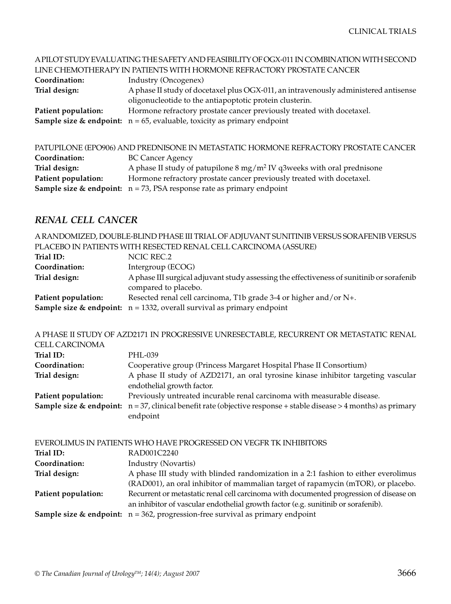|                     | A PILOT STUDY EVALUATING THE SAFETY AND FEASIBILITY OF OGX-011 IN COMBINATION WITH SECOND |
|---------------------|-------------------------------------------------------------------------------------------|
|                     | LINE CHEMOTHERAPY IN PATIENTS WITH HORMONE REFRACTORY PROSTATE CANCER                     |
| Coordination:       | Industry (Oncogenex)                                                                      |
| Trial design:       | A phase II study of docetaxel plus OGX-011, an intravenously administered antisense       |
|                     | oligonucleotide to the antiapoptotic protein clusterin.                                   |
| Patient population: | Hormone refractory prostate cancer previously treated with docetaxel.                     |
|                     | <b>Sample size &amp; endpoint:</b> $n = 65$ , evaluable, toxicity as primary endpoint     |
|                     | PATUPILONE (EPO906) AND PREDNISONE IN METASTATIC HORMONE REFRACTORY PROSTATE CANCER       |
| Coordination:       | <b>BC Cancer Agency</b>                                                                   |

| Trial design:       | A phase II study of patupilone $8 \text{ mg/m}^2$ IV q3weeks with oral prednisone   |
|---------------------|-------------------------------------------------------------------------------------|
| Patient population: | Hormone refractory prostate cancer previously treated with docetaxel.               |
|                     | <b>Sample size &amp; endpoint:</b> $n = 73$ , PSA response rate as primary endpoint |

### *RENAL CELL CANCER*

A RANDOMIZED, DOUBLE-BLIND PHASE III TRIAL OF ADJUVANT SUNITINIB VERSUS SORAFENIB VERSUS PLACEBO IN PATIENTS WITH RESECTED RENAL CELL CARCINOMA (ASSURE)

| Trial ID:           | NCIC REC.2                                                                                                        |
|---------------------|-------------------------------------------------------------------------------------------------------------------|
| Coordination:       | Intergroup (ECOG)                                                                                                 |
| Trial design:       | A phase III surgical adjuvant study assessing the effectiveness of sunitinib or sorafenib<br>compared to placebo. |
| Patient population: | Resected renal cell carcinoma, T1b grade 3-4 or higher and/or N+.                                                 |
|                     | <b>Sample size &amp; endpoint:</b> $n = 1332$ , overall survival as primary endpoint                              |

A PHASE II STUDY OF AZD2171 IN PROGRESSIVE UNRESECTABLE, RECURRENT OR METASTATIC RENAL

| CELL CARCINOMA      |                                                                                                                                 |
|---------------------|---------------------------------------------------------------------------------------------------------------------------------|
| Trial ID:           | PHL-039                                                                                                                         |
| Coordination:       | Cooperative group (Princess Margaret Hospital Phase II Consortium)                                                              |
| Trial design:       | A phase II study of AZD2171, an oral tyrosine kinase inhibitor targeting vascular<br>endothelial growth factor.                 |
| Patient population: | Previously untreated incurable renal carcinoma with measurable disease.                                                         |
|                     | <b>Sample size &amp; endpoint:</b> $n = 37$ , clinical benefit rate (objective response + stable disease > 4 months) as primary |
|                     | endpoint                                                                                                                        |

| EVEROLIMUS IN PATIENTS WHO HAVE PROGRESSED ON VEGFR TK INHIBITORS |                                                                                              |
|-------------------------------------------------------------------|----------------------------------------------------------------------------------------------|
| Trial ID:                                                         | RAD001C2240                                                                                  |
| Coordination:                                                     | Industry (Novartis)                                                                          |
| Trial design:                                                     | A phase III study with blinded randomization in a 2:1 fashion to either everolimus           |
|                                                                   | (RAD001), an oral inhibitor of mammalian target of rapamycin (mTOR), or placebo.             |
| Patient population:                                               | Recurrent or metastatic renal cell carcinoma with documented progression of disease on       |
|                                                                   | an inhibitor of vascular endothelial growth factor (e.g. sunitinib or sorafenib).            |
|                                                                   | <b>Sample size &amp; endpoint:</b> $n = 362$ , progression-free survival as primary endpoint |